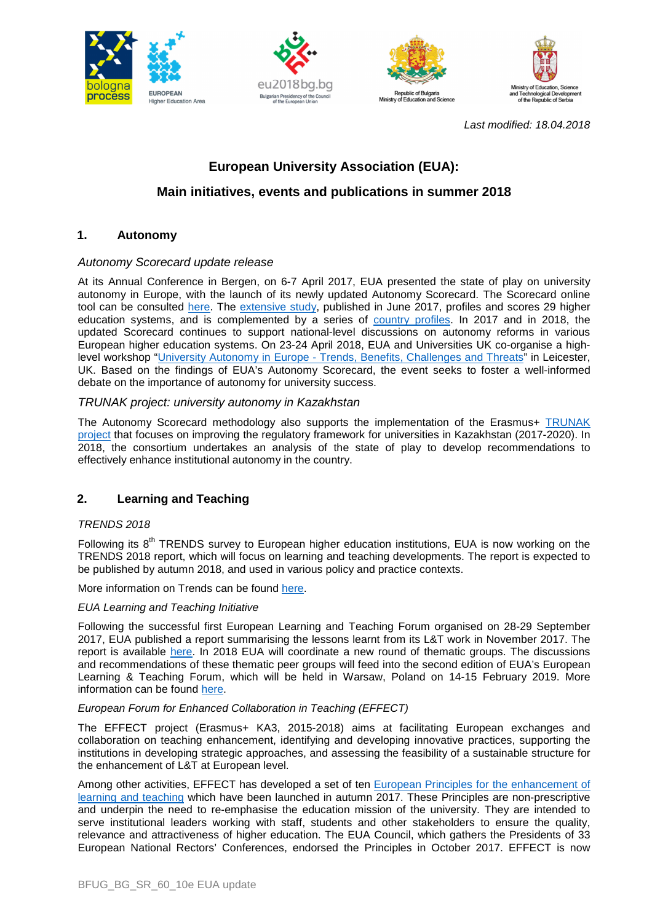







Last modified: 18.04.2018

# **European University Association (EUA):**

# **Main initiatives, events and publications in summer 2018**

# **1. Autonomy**

## Autonomy Scorecard update release

At its Annual Conference in Bergen, on 6-7 April 2017, EUA presented the state of play on university autonomy in Europe, with the launch of its newly updated Autonomy Scorecard. The Scorecard online tool can be consulted here. The extensive study, published in June 2017, profiles and scores 29 higher education systems, and is complemented by a series of country profiles. In 2017 and in 2018, the updated Scorecard continues to support national-level discussions on autonomy reforms in various European higher education systems. On 23-24 April 2018, EUA and Universities UK co-organise a highlevel workshop "University Autonomy in Europe - Trends, Benefits, Challenges and Threats" in Leicester, UK. Based on the findings of EUA's Autonomy Scorecard, the event seeks to foster a well-informed debate on the importance of autonomy for university success.

## TRUNAK project: university autonomy in Kazakhstan

The Autonomy Scorecard methodology also supports the implementation of the Erasmus+ TRUNAK project that focuses on improving the regulatory framework for universities in Kazakhstan (2017-2020). In 2018, the consortium undertakes an analysis of the state of play to develop recommendations to effectively enhance institutional autonomy in the country.

# **2. Learning and Teaching**

#### TRENDS 2018

Following its  $8<sup>th</sup>$  TRENDS survey to European higher education institutions, EUA is now working on the TRENDS 2018 report, which will focus on learning and teaching developments. The report is expected to be published by autumn 2018, and used in various policy and practice contexts.

More information on Trends can be found here.

#### EUA Learning and Teaching Initiative

Following the successful first European Learning and Teaching Forum organised on 28-29 September 2017, EUA published a report summarising the lessons learnt from its L&T work in November 2017. The report is available here. In 2018 EUA will coordinate a new round of thematic groups. The discussions and recommendations of these thematic peer groups will feed into the second edition of EUA's European Learning & Teaching Forum, which will be held in Warsaw, Poland on 14-15 February 2019. More information can be found here.

#### European Forum for Enhanced Collaboration in Teaching (EFFECT)

The EFFECT project (Erasmus+ KA3, 2015-2018) aims at facilitating European exchanges and collaboration on teaching enhancement, identifying and developing innovative practices, supporting the institutions in developing strategic approaches, and assessing the feasibility of a sustainable structure for the enhancement of L&T at European level.

Among other activities, EFFECT has developed a set of ten **European Principles for the enhancement of** learning and teaching which have been launched in autumn 2017. These Principles are non-prescriptive and underpin the need to re-emphasise the education mission of the university. They are intended to serve institutional leaders working with staff, students and other stakeholders to ensure the quality, relevance and attractiveness of higher education. The EUA Council, which gathers the Presidents of 33 European National Rectors' Conferences, endorsed the Principles in October 2017. EFFECT is now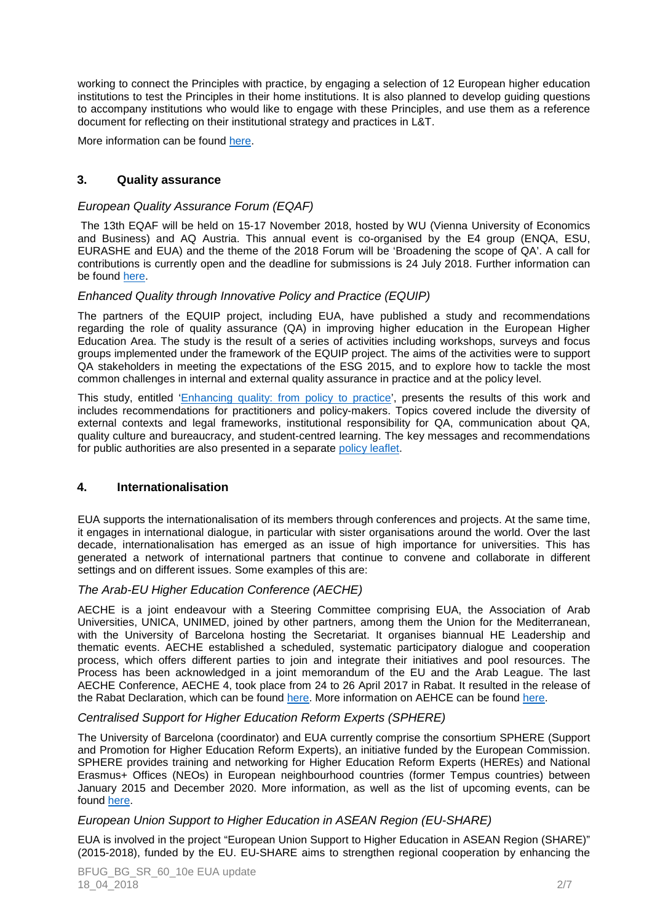working to connect the Principles with practice, by engaging a selection of 12 European higher education institutions to test the Principles in their home institutions. It is also planned to develop guiding questions to accompany institutions who would like to engage with these Principles, and use them as a reference document for reflecting on their institutional strategy and practices in L&T.

More information can be found here.

# **3. Quality assurance**

#### European Quality Assurance Forum (EQAF)

 The 13th EQAF will be held on 15-17 November 2018, hosted by WU (Vienna University of Economics and Business) and AQ Austria. This annual event is co-organised by the E4 group (ENQA, ESU, EURASHE and EUA) and the theme of the 2018 Forum will be 'Broadening the scope of QA'. A call for contributions is currently open and the deadline for submissions is 24 July 2018. Further information can be found here.

## Enhanced Quality through Innovative Policy and Practice (EQUIP)

The partners of the EQUIP project, including EUA, have published a study and recommendations regarding the role of quality assurance (QA) in improving higher education in the European Higher Education Area. The study is the result of a series of activities including workshops, surveys and focus groups implemented under the framework of the EQUIP project. The aims of the activities were to support QA stakeholders in meeting the expectations of the ESG 2015, and to explore how to tackle the most common challenges in internal and external quality assurance in practice and at the policy level.

This study, entitled 'Enhancing quality: from policy to practice', presents the results of this work and includes recommendations for practitioners and policy-makers. Topics covered include the diversity of external contexts and legal frameworks, institutional responsibility for QA, communication about QA, quality culture and bureaucracy, and student-centred learning. The key messages and recommendations for public authorities are also presented in a separate policy leaflet.

## **4. Internationalisation**

EUA supports the internationalisation of its members through conferences and projects. At the same time, it engages in international dialogue, in particular with sister organisations around the world. Over the last decade, internationalisation has emerged as an issue of high importance for universities. This has generated a network of international partners that continue to convene and collaborate in different settings and on different issues. Some examples of this are:

#### The Arab-EU Higher Education Conference (AECHE)

AECHE is a joint endeavour with a Steering Committee comprising EUA, the Association of Arab Universities, UNICA, UNIMED, joined by other partners, among them the Union for the Mediterranean, with the University of Barcelona hosting the Secretariat. It organises biannual HE Leadership and thematic events. AECHE established a scheduled, systematic participatory dialogue and cooperation process, which offers different parties to join and integrate their initiatives and pool resources. The Process has been acknowledged in a joint memorandum of the EU and the Arab League. The last AECHE Conference, AECHE 4, took place from 24 to 26 April 2017 in Rabat. It resulted in the release of the Rabat Declaration, which can be found here. More information on AEHCE can be found here.

#### Centralised Support for Higher Education Reform Experts (SPHERE)

The University of Barcelona (coordinator) and EUA currently comprise the consortium SPHERE (Support and Promotion for Higher Education Reform Experts), an initiative funded by the European Commission. SPHERE provides training and networking for Higher Education Reform Experts (HEREs) and National Erasmus+ Offices (NEOs) in European neighbourhood countries (former Tempus countries) between January 2015 and December 2020. More information, as well as the list of upcoming events, can be found here.

# European Union Support to Higher Education in ASEAN Region (EU-SHARE)

EUA is involved in the project "European Union Support to Higher Education in ASEAN Region (SHARE)" (2015-2018), funded by the EU. EU-SHARE aims to strengthen regional cooperation by enhancing the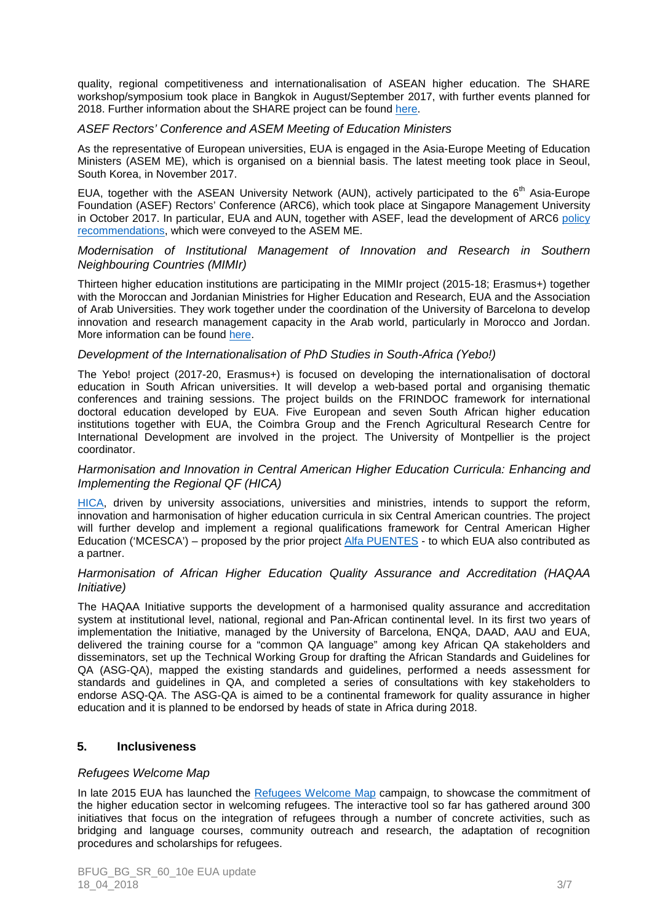quality, regional competitiveness and internationalisation of ASEAN higher education. The SHARE workshop/symposium took place in Bangkok in August/September 2017, with further events planned for 2018. Further information about the SHARE project can be found here.

## ASEF Rectors' Conference and ASEM Meeting of Education Ministers

As the representative of European universities, EUA is engaged in the Asia-Europe Meeting of Education Ministers (ASEM ME), which is organised on a biennial basis. The latest meeting took place in Seoul, South Korea, in November 2017.

EUA, together with the ASEAN University Network (AUN), actively participated to the  $6<sup>th</sup>$  Asia-Europe Foundation (ASEF) Rectors' Conference (ARC6), which took place at Singapore Management University in October 2017. In particular, EUA and AUN, together with ASEF, lead the development of ARC6 policy recommendations, which were conveyed to the ASEM ME.

#### Modernisation of Institutional Management of Innovation and Research in Southern Neighbouring Countries (MIMIr)

Thirteen higher education institutions are participating in the MIMIr project (2015-18; Erasmus+) together with the Moroccan and Jordanian Ministries for Higher Education and Research, EUA and the Association of Arab Universities. They work together under the coordination of the University of Barcelona to develop innovation and research management capacity in the Arab world, particularly in Morocco and Jordan. More information can be found here.

## Development of the Internationalisation of PhD Studies in South-Africa (Yebo!)

The Yebo! project (2017-20, Erasmus+) is focused on developing the internationalisation of doctoral education in South African universities. It will develop a web-based portal and organising thematic conferences and training sessions. The project builds on the FRINDOC framework for international doctoral education developed by EUA. Five European and seven South African higher education institutions together with EUA, the Coimbra Group and the French Agricultural Research Centre for International Development are involved in the project. The University of Montpellier is the project coordinator.

## Harmonisation and Innovation in Central American Higher Education Curricula: Enhancing and Implementing the Regional QF (HICA)

HICA, driven by university associations, universities and ministries, intends to support the reform, innovation and harmonisation of higher education curricula in six Central American countries. The project will further develop and implement a regional qualifications framework for Central American Higher Education ('MCESCA') – proposed by the prior project Alfa PUENTES - to which EUA also contributed as a partner.

#### Harmonisation of African Higher Education Quality Assurance and Accreditation (HAQAA Initiative)

The HAQAA Initiative supports the development of a harmonised quality assurance and accreditation system at institutional level, national, regional and Pan-African continental level. In its first two years of implementation the Initiative, managed by the University of Barcelona, ENQA, DAAD, AAU and EUA, delivered the training course for a "common QA language" among key African QA stakeholders and disseminators, set up the Technical Working Group for drafting the African Standards and Guidelines for QA (ASG-QA), mapped the existing standards and guidelines, performed a needs assessment for standards and guidelines in QA, and completed a series of consultations with key stakeholders to endorse ASQ-QA. The ASG-QA is aimed to be a continental framework for quality assurance in higher education and it is planned to be endorsed by heads of state in Africa during 2018.

# **5. Inclusiveness**

# Refugees Welcome Map

In late 2015 EUA has launched the Refugees Welcome Map campaign, to showcase the commitment of the higher education sector in welcoming refugees. The interactive tool so far has gathered around 300 initiatives that focus on the integration of refugees through a number of concrete activities, such as bridging and language courses, community outreach and research, the adaptation of recognition procedures and scholarships for refugees.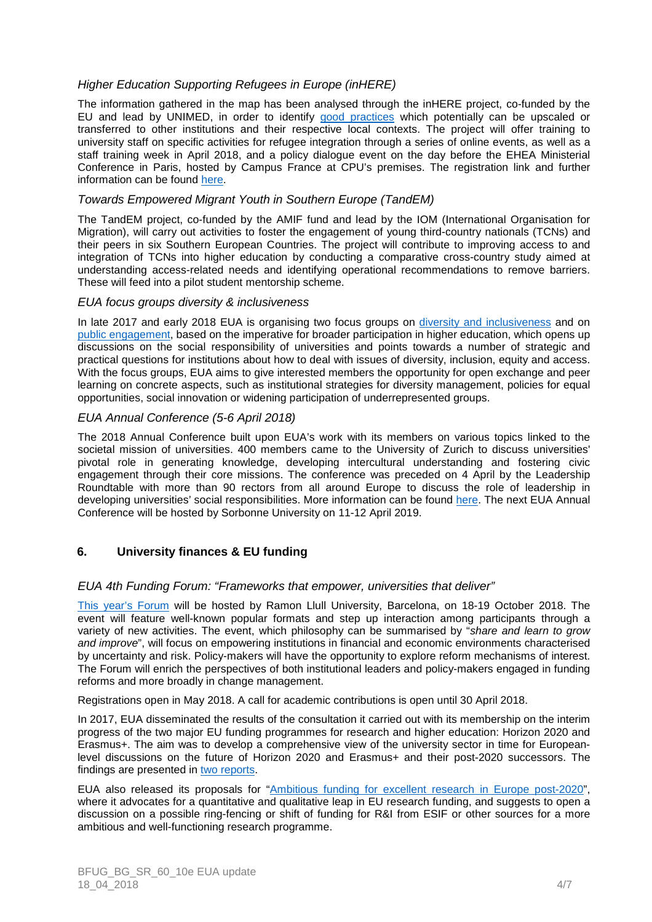# Higher Education Supporting Refugees in Europe (inHERE)

The information gathered in the map has been analysed through the inHERE project, co-funded by the EU and lead by UNIMED, in order to identify good practices which potentially can be upscaled or transferred to other institutions and their respective local contexts. The project will offer training to university staff on specific activities for refugee integration through a series of online events, as well as a staff training week in April 2018, and a policy dialogue event on the day before the EHEA Ministerial Conference in Paris, hosted by Campus France at CPU's premises. The registration link and further information can be found here.

## Towards Empowered Migrant Youth in Southern Europe (TandEM)

The TandEM project, co-funded by the AMIF fund and lead by the IOM (International Organisation for Migration), will carry out activities to foster the engagement of young third-country nationals (TCNs) and their peers in six Southern European Countries. The project will contribute to improving access to and integration of TCNs into higher education by conducting a comparative cross-country study aimed at understanding access-related needs and identifying operational recommendations to remove barriers. These will feed into a pilot student mentorship scheme.

## EUA focus groups diversity & inclusiveness

In late 2017 and early 2018 EUA is organising two focus groups on diversity and inclusiveness and on public engagement, based on the imperative for broader participation in higher education, which opens up discussions on the social responsibility of universities and points towards a number of strategic and practical questions for institutions about how to deal with issues of diversity, inclusion, equity and access. With the focus groups, EUA aims to give interested members the opportunity for open exchange and peer learning on concrete aspects, such as institutional strategies for diversity management, policies for equal opportunities, social innovation or widening participation of underrepresented groups.

## EUA Annual Conference (5-6 April 2018)

The 2018 Annual Conference built upon EUA's work with its members on various topics linked to the societal mission of universities. 400 members came to the University of Zurich to discuss universities' pivotal role in generating knowledge, developing intercultural understanding and fostering civic engagement through their core missions. The conference was preceded on 4 April by the Leadership Roundtable with more than 90 rectors from all around Europe to discuss the role of leadership in developing universities' social responsibilities. More information can be found here. The next EUA Annual Conference will be hosted by Sorbonne University on 11-12 April 2019.

# **6. University finances & EU funding**

#### EUA 4th Funding Forum: "Frameworks that empower, universities that deliver"

This year's Forum will be hosted by Ramon Llull University, Barcelona, on 18-19 October 2018. The event will feature well-known popular formats and step up interaction among participants through a variety of new activities. The event, which philosophy can be summarised by "share and learn to grow and improve", will focus on empowering institutions in financial and economic environments characterised by uncertainty and risk. Policy-makers will have the opportunity to explore reform mechanisms of interest. The Forum will enrich the perspectives of both institutional leaders and policy-makers engaged in funding reforms and more broadly in change management.

Registrations open in May 2018. A call for academic contributions is open until 30 April 2018.

In 2017, EUA disseminated the results of the consultation it carried out with its membership on the interim progress of the two major EU funding programmes for research and higher education: Horizon 2020 and Erasmus+. The aim was to develop a comprehensive view of the university sector in time for Europeanlevel discussions on the future of Horizon 2020 and Erasmus+ and their post-2020 successors. The findings are presented in two reports.

EUA also released its proposals for "Ambitious funding for excellent research in Europe post-2020", where it advocates for a quantitative and qualitative leap in EU research funding, and suggests to open a discussion on a possible ring-fencing or shift of funding for R&I from ESIF or other sources for a more ambitious and well-functioning research programme.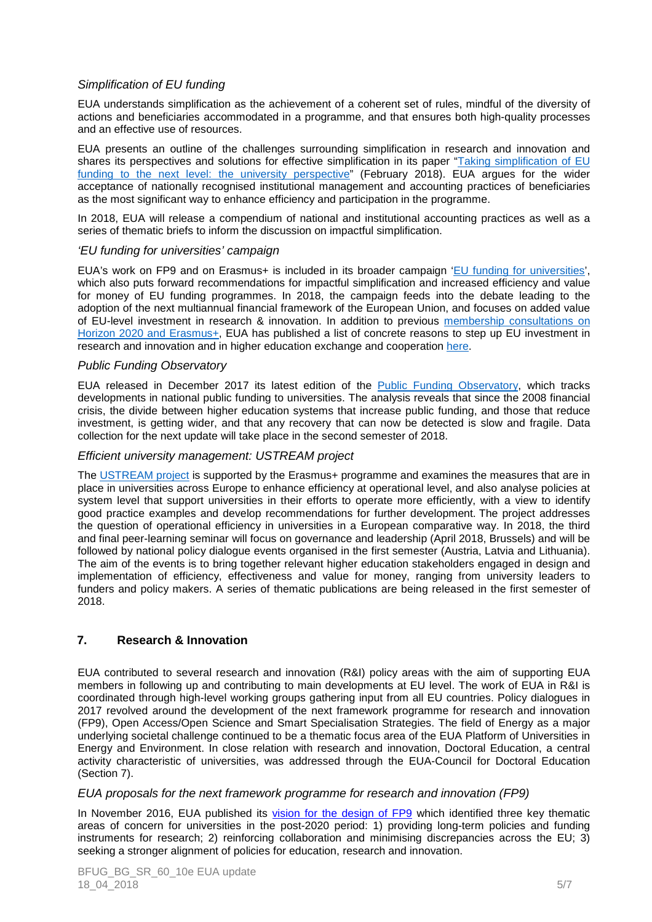# Simplification of EU funding

EUA understands simplification as the achievement of a coherent set of rules, mindful of the diversity of actions and beneficiaries accommodated in a programme, and that ensures both high-quality processes and an effective use of resources.

EUA presents an outline of the challenges surrounding simplification in research and innovation and shares its perspectives and solutions for effective simplification in its paper "Taking simplification of EU funding to the next level: the university perspective" (February 2018). EUA argues for the wider acceptance of nationally recognised institutional management and accounting practices of beneficiaries as the most significant way to enhance efficiency and participation in the programme.

In 2018, EUA will release a compendium of national and institutional accounting practices as well as a series of thematic briefs to inform the discussion on impactful simplification.

## 'EU funding for universities' campaign

EUA's work on FP9 and on Erasmus+ is included in its broader campaign 'EU funding for universities', which also puts forward recommendations for impactful simplification and increased efficiency and value for money of EU funding programmes. In 2018, the campaign feeds into the debate leading to the adoption of the next multiannual financial framework of the European Union, and focuses on added value of EU-level investment in research & innovation. In addition to previous membership consultations on Horizon 2020 and Erasmus+, EUA has published a list of concrete reasons to step up EU investment in research and innovation and in higher education exchange and cooperation here.

## Public Funding Observatory

EUA released in December 2017 its latest edition of the Public Funding Observatory, which tracks developments in national public funding to universities. The analysis reveals that since the 2008 financial crisis, the divide between higher education systems that increase public funding, and those that reduce investment, is getting wider, and that any recovery that can now be detected is slow and fragile. Data collection for the next update will take place in the second semester of 2018.

#### Efficient university management: USTREAM project

The USTREAM project is supported by the Erasmus+ programme and examines the measures that are in place in universities across Europe to enhance efficiency at operational level, and also analyse policies at system level that support universities in their efforts to operate more efficiently, with a view to identify good practice examples and develop recommendations for further development. The project addresses the question of operational efficiency in universities in a European comparative way. In 2018, the third and final peer-learning seminar will focus on governance and leadership (April 2018, Brussels) and will be followed by national policy dialogue events organised in the first semester (Austria, Latvia and Lithuania). The aim of the events is to bring together relevant higher education stakeholders engaged in design and implementation of efficiency, effectiveness and value for money, ranging from university leaders to funders and policy makers. A series of thematic publications are being released in the first semester of 2018.

# **7. Research & Innovation**

EUA contributed to several research and innovation (R&I) policy areas with the aim of supporting EUA members in following up and contributing to main developments at EU level. The work of EUA in R&I is coordinated through high-level working groups gathering input from all EU countries. Policy dialogues in 2017 revolved around the development of the next framework programme for research and innovation (FP9), Open Access/Open Science and Smart Specialisation Strategies. The field of Energy as a major underlying societal challenge continued to be a thematic focus area of the EUA Platform of Universities in Energy and Environment. In close relation with research and innovation, Doctoral Education, a central activity characteristic of universities, was addressed through the EUA-Council for Doctoral Education (Section 7).

#### EUA proposals for the next framework programme for research and innovation (FP9)

In November 2016, EUA published its vision for the design of FP9 which identified three key thematic areas of concern for universities in the post-2020 period: 1) providing long-term policies and funding instruments for research; 2) reinforcing collaboration and minimising discrepancies across the EU; 3) seeking a stronger alignment of policies for education, research and innovation.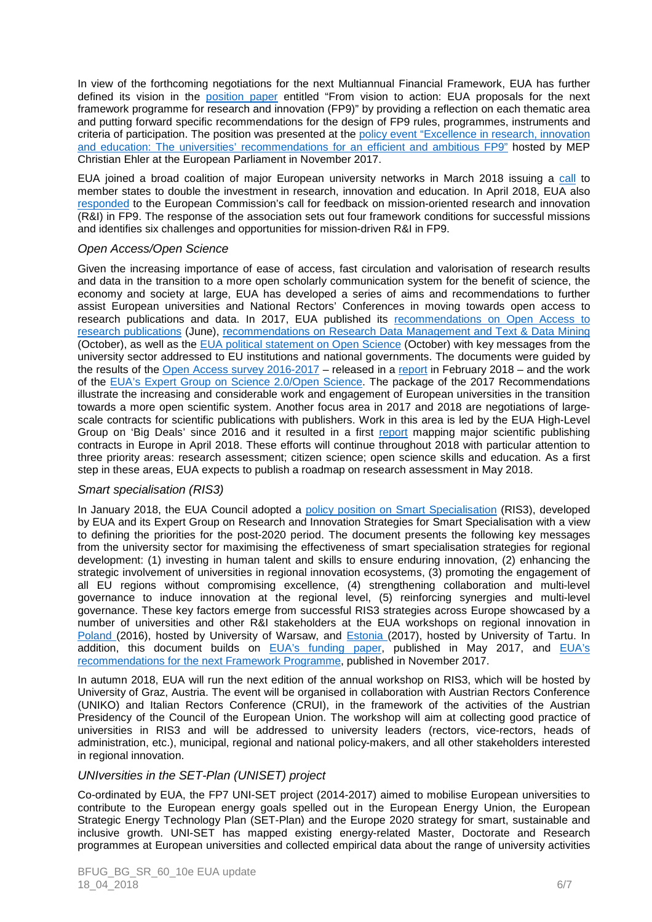In view of the forthcoming negotiations for the next Multiannual Financial Framework, EUA has further defined its vision in the position paper entitled "From vision to action: EUA proposals for the next framework programme for research and innovation (FP9)" by providing a reflection on each thematic area and putting forward specific recommendations for the design of FP9 rules, programmes, instruments and criteria of participation. The position was presented at the policy event "Excellence in research, innovation and education: The universities' recommendations for an efficient and ambitious FP9" hosted by MEP Christian Ehler at the European Parliament in November 2017.

EUA joined a broad coalition of major European university networks in March 2018 issuing a call to member states to double the investment in research, innovation and education. In April 2018, EUA also responded to the European Commission's call for feedback on mission-oriented research and innovation (R&I) in FP9. The response of the association sets out four framework conditions for successful missions and identifies six challenges and opportunities for mission-driven R&I in FP9.

## Open Access/Open Science

Given the increasing importance of ease of access, fast circulation and valorisation of research results and data in the transition to a more open scholarly communication system for the benefit of science, the economy and society at large, EUA has developed a series of aims and recommendations to further assist European universities and National Rectors' Conferences in moving towards open access to research publications and data. In 2017, EUA published its recommendations on Open Access to research publications (June), recommendations on Research Data Management and Text & Data Mining (October), as well as the EUA political statement on Open Science (October) with key messages from the university sector addressed to EU institutions and national governments. The documents were guided by the results of the Open Access survey 2016-2017 – released in a report in February 2018 – and the work of the EUA's Expert Group on Science 2.0/Open Science. The package of the 2017 Recommendations illustrate the increasing and considerable work and engagement of European universities in the transition towards a more open scientific system. Another focus area in 2017 and 2018 are negotiations of largescale contracts for scientific publications with publishers. Work in this area is led by the EUA High-Level Group on 'Big Deals' since 2016 and it resulted in a first report mapping major scientific publishing contracts in Europe in April 2018. These efforts will continue throughout 2018 with particular attention to three priority areas: research assessment; citizen science; open science skills and education. As a first step in these areas, EUA expects to publish a roadmap on research assessment in May 2018.

# Smart specialisation (RIS3)

In January 2018, the EUA Council adopted a policy position on Smart Specialisation (RIS3), developed by EUA and its Expert Group on Research and Innovation Strategies for Smart Specialisation with a view to defining the priorities for the post-2020 period. The document presents the following key messages from the university sector for maximising the effectiveness of smart specialisation strategies for regional development: (1) investing in human talent and skills to ensure enduring innovation, (2) enhancing the strategic involvement of universities in regional innovation ecosystems, (3) promoting the engagement of all EU regions without compromising excellence, (4) strengthening collaboration and multi-level governance to induce innovation at the regional level, (5) reinforcing synergies and multi-level governance. These key factors emerge from successful RIS3 strategies across Europe showcased by a number of universities and other R&I stakeholders at the EUA workshops on regional innovation in Poland (2016), hosted by University of Warsaw, and Estonia (2017), hosted by University of Tartu. In addition, this document builds on EUA's funding paper, published in May 2017, and EUA's recommendations for the next Framework Programme, published in November 2017.

In autumn 2018, EUA will run the next edition of the annual workshop on RIS3, which will be hosted by University of Graz, Austria. The event will be organised in collaboration with Austrian Rectors Conference (UNIKO) and Italian Rectors Conference (CRUI), in the framework of the activities of the Austrian Presidency of the Council of the European Union. The workshop will aim at collecting good practice of universities in RIS3 and will be addressed to university leaders (rectors, vice-rectors, heads of administration, etc.), municipal, regional and national policy-makers, and all other stakeholders interested in regional innovation.

#### UNIversities in the SET-Plan (UNISET) project

Co-ordinated by EUA, the FP7 UNI-SET project (2014-2017) aimed to mobilise European universities to contribute to the European energy goals spelled out in the European Energy Union, the European Strategic Energy Technology Plan (SET-Plan) and the Europe 2020 strategy for smart, sustainable and inclusive growth. UNI-SET has mapped existing energy-related Master, Doctorate and Research programmes at European universities and collected empirical data about the range of university activities